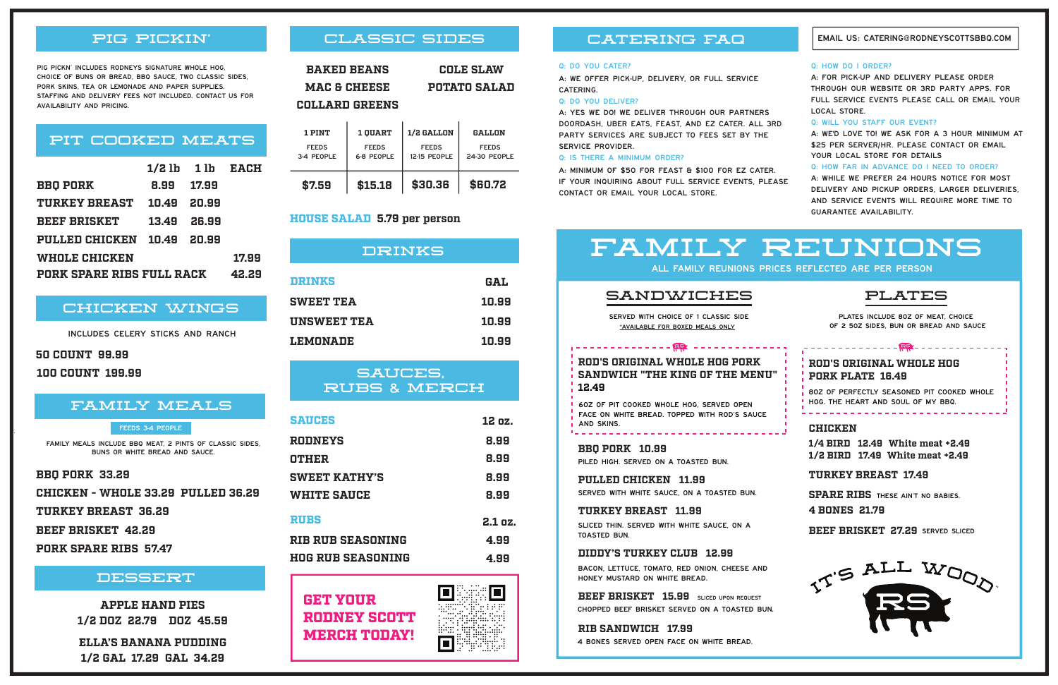# CLASSIC SIDES

| <b>BAKED BEANS</b>    | <b>COLE SLAW</b>    |
|-----------------------|---------------------|
| MAC & CHEESE          | <b>POTATO SALAD</b> |
| <b>COLLARD GREENS</b> |                     |

| 1 PINT                     | <b>1 OUART</b>             | <b>1/2 GALLON</b>            | GALLON                       |
|----------------------------|----------------------------|------------------------------|------------------------------|
| <b>FEEDS</b><br>3-4 PEOPLE | <b>FEEDS</b><br>6-8 PEOPLE | <b>FEEDS</b><br>12-15 PEOPLE | <b>FEEDS</b><br>24-30 PEOPLE |
| \$7.59                     | \$15.18                    | \$30.36                      | \$60.72                      |

# SAUCES, RUBS & MERCH

## DESSERT

All family reunions prices reflected are per person

| DRINKS             |            |  |  |
|--------------------|------------|--|--|
| DRINKS             | <b>GAL</b> |  |  |
| <b>SWEET TEA</b>   | 10.99      |  |  |
| <b>UNSWEET TEA</b> | 10.99      |  |  |
| LEMONADE           | 10.99      |  |  |

**ELLA'S BANANA PUDDING 1/2 GAL 17.29 GAL 34.29**

**APPLE HAND PIES 1/2 DOZ 22.79 DOZ 45.59**

| <b>SAUCES</b>            | 12 oz.  |
|--------------------------|---------|
| RODNEYS                  | 8.99    |
| OTHER                    | 8.99    |
| <b>SWEET KATHY'S</b>     | 8.99    |
| <b>WHITE SAUCE</b>       | 8.99    |
| <b>RUBS</b>              | 2.1 oz. |
| <b>RIB RUB SEASONING</b> | 4.99    |
| <b>HOG RUB SEASONING</b> | 4.99    |

回

 $\Box$ 

: [T]

A: For pick-up and delivery please order through our website or 3rd party apps. For full service events please call or email your LOCAL STORE.

GET YOUR RODNEY SCOTT MERCH TODAY! A: We'd love to! We ask for a 3 hour minimum at \$25 PER SERVER/HR. PLEASE CONTACT OR EMAIL YOUR LOCAL STORE FOR DETAILS

# FAMILY REUNIONS

## HOUSE SALAD **5.79 per person**

# CATERING FAQ

#### Q: DO YOU CATER?

A: We offer pick-up, delivery, or full service catering.

#### Q: Do you deliver?

A: Yes we do! We deliver through our partners DoorDash, Uber Eats, Feast, and EZ Cater. All 3rd party services are subject to fees set by the service provider.

#### Q: Is there a minimum order?

|                                  |             | $1/2$ lb $1$ lb $EACH$ |       |
|----------------------------------|-------------|------------------------|-------|
| <b>BBQ PORK</b>                  | 8.99        | 17.99                  |       |
| <b>TURKEY BREAST</b>             | 10.49 20.99 |                        |       |
| <b>BEEF BRISKET</b>              | 13.49       | - 26.99                |       |
| PULLED CHICKEN                   | 10.49 20.99 |                        |       |
| <b>WHOLE CHICKEN</b>             |             |                        | 17.99 |
| <b>PORK SPARE RIBS FULL RACK</b> |             |                        | 42.29 |

A: minimum of \$50 for Feast & \$100 for EZ cater. If your inquiring about full service events, please contact or email your local store.

Chopped Beef Brisket Served on a toasted bun. **BEEF BRISKET 15.99** SLICED UPON REQUEST

#### Q: Will you staff our event?

Q: How far in advance do I need to order?

A: While we prefer 24 hours notice for most delivery and pickup orders, larger deliveries, and service events will require more time to guarantee availability.

#### Email us: catering@rodneyscottsbbq.com

#### Q: HOW DO I ORDER?

# PIT COOKED MEATS

**SPARE RIBS** THESE AIN'T NO BABIES. **4 BONES 21.79**

**BEEF BRISKET 27.29** SERVED SLICED



**BBQ PORK 33.29 CHICKEN - WHOLE 33.29 PULLED 36.29 TURKEY BREAST 36.29 BEEF BRISKET 42.29** 

**PORK SPARE RIBS 57.47**

# CHICKEN WINGS

Includes celery sticks and ranch

family meals include BBQ meat, 2 pints of classic sides, buns or white bread and sauce.

#### FEEDS 3-4 PEOPLE

#### **50 COUNT 99.99**

**100 COUNT 199.99**

# FAMILY MEALS

Pig Pickn' includes Rodneys signature whole hog, choice of buns or bread, BBQ Sauce, two classic sides, pork skins, tea or lemonade and paper supplies. Staffing and delivery fees not included. Contact us for availability and pricing.

# PIG PICKIN'

#### **DIDDY'S TURKEY CLUB 12.99**

bacon, lettuce, tomato, red onion, cheese and honey mustard on white bread.

Piled high. Served on a toasted bun.

4 bones served open face on white bread.

# **12.49 ROD'S ORIGINAL WHOLE HOG PORK SANDWICH "THE KING OF THE MENU"**

sliced thin. Served with white sauce, on a toasted bun.

## **BBQ PORK 10.99**

Served with white sauce, on a toasted bun. **PULLED CHICKEN 11.99**

6oz of pit cooked whole hog, served open face on white bread. Topped with Rod's sauce and skins.

\*Available for boxed meals only Served with choice of 1 classic side

| - - - - - - - - - - - - - <del>風</del> - - - - - - - - - - - - - - -

#### **TURKEY BREAST 11.99**

# SANDWICHES

**RIB SANDWICH 17.99**

# PLATES

**1/4 BIRD 12.49 White meat +2.49 1/2 BIRD 17.49 White meat +2.49**

plates include 8oz of meat, choice of 2 5oz sides, bun or bread and sauce

## **ROD'S ORIGINAL WHOLE HOG PORK PLATE 16.49**

8oz of perfectly seasoned pit cooked whole hog. The Heart and soul of my BBQ.

## **CHICKEN**

**TURKEY BREAST 17.49**